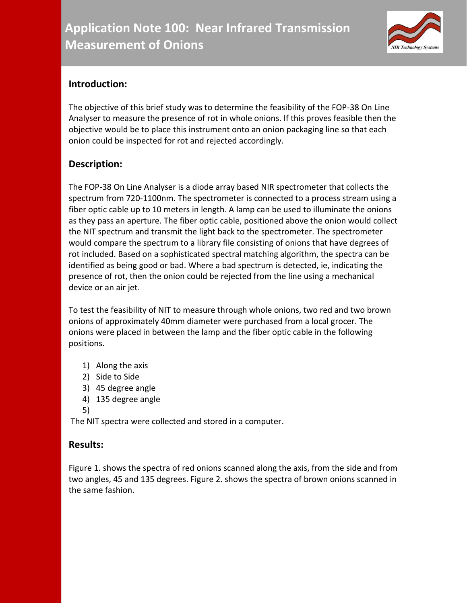

## **Introduction:**

The objective of this brief study was to determine the feasibility of the FOP-38 On Line Analyser to measure the presence of rot in whole onions. If this proves feasible then the objective would be to place this instrument onto an onion packaging line so that each onion could be inspected for rot and rejected accordingly.

## **Description:**

The FOP-38 On Line Analyser is a diode array based NIR spectrometer that collects the spectrum from 720-1100nm. The spectrometer is connected to a process stream using a fiber optic cable up to 10 meters in length. A lamp can be used to illuminate the onions as they pass an aperture. The fiber optic cable, positioned above the onion would collect the NIT spectrum and transmit the light back to the spectrometer. The spectrometer would compare the spectrum to a library file consisting of onions that have degrees of rot included. Based on a sophisticated spectral matching algorithm, the spectra can be identified as being good or bad. Where a bad spectrum is detected, ie, indicating the presence of rot, then the onion could be rejected from the line using a mechanical device or an air jet.

To test the feasibility of NIT to measure through whole onions, two red and two brown onions of approximately 40mm diameter were purchased from a local grocer. The onions were placed in between the lamp and the fiber optic cable in the following positions.

- 1) Along the axis
- 2) Side to Side
- 3) 45 degree angle
- 4) 135 degree angle
- 5)

The NIT spectra were collected and stored in a computer.

## **Results:**

Figure 1. shows the spectra of red onions scanned along the axis, from the side and from two angles, 45 and 135 degrees. Figure 2. shows the spectra of brown onions scanned in the same fashion.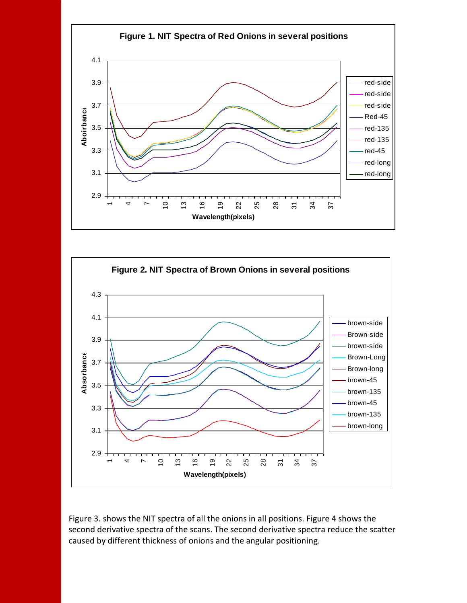



Figure 3. shows the NIT spectra of all the onions in all positions. Figure 4 shows the second derivative spectra of the scans. The second derivative spectra reduce the scatter caused by different thickness of onions and the angular positioning.